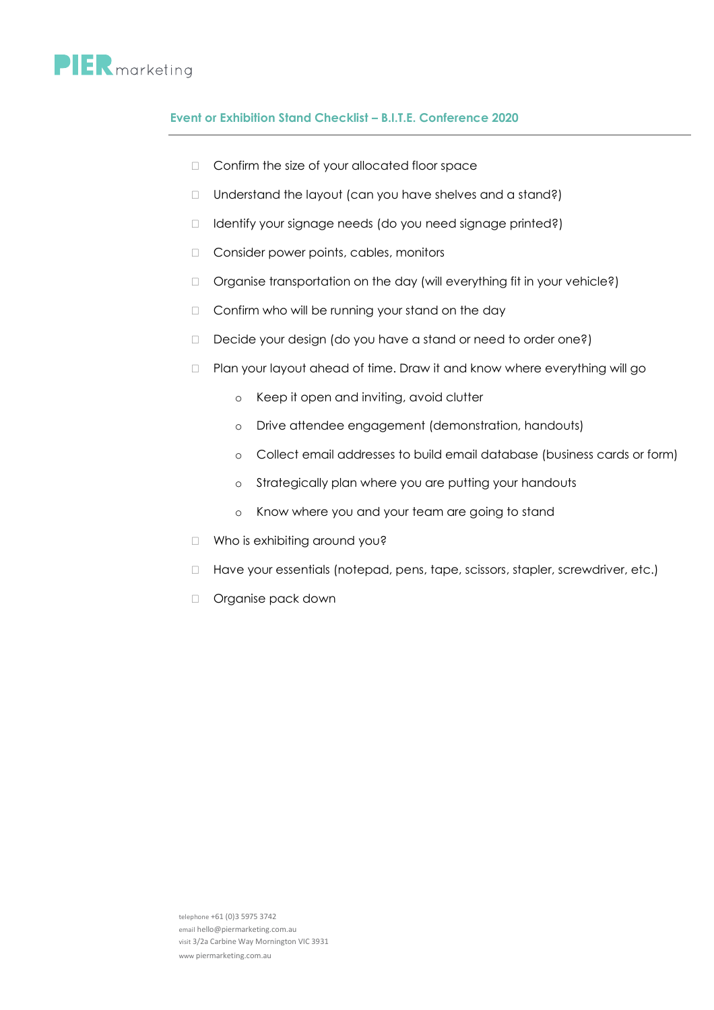## **PIER** marketing

## **Event or Exhibition Stand Checklist – B.I.T.E. Conference 2020**

- □ Confirm the size of your allocated floor space
- $\Box$  Understand the layout (can you have shelves and a stand?)
- □ Identify your signage needs (do you need signage printed?)
- Consider power points, cables, monitors
- □ Organise transportation on the day (will everything fit in your vehicle?)
- $\Box$  Confirm who will be running your stand on the day
- $\Box$  Decide your design (do you have a stand or need to order one?)
- □ Plan your layout ahead of time. Draw it and know where everything will go
	- o Keep it open and inviting, avoid clutter
	- o Drive attendee engagement (demonstration, handouts)
	- o Collect email addresses to build email database (business cards or form)
	- o Strategically plan where you are putting your handouts
	- o Know where you and your team are going to stand
- □ Who is exhibiting around you?
- □ Have your essentials (notepad, pens, tape, scissors, stapler, screwdriver, etc.)
- D Organise pack down